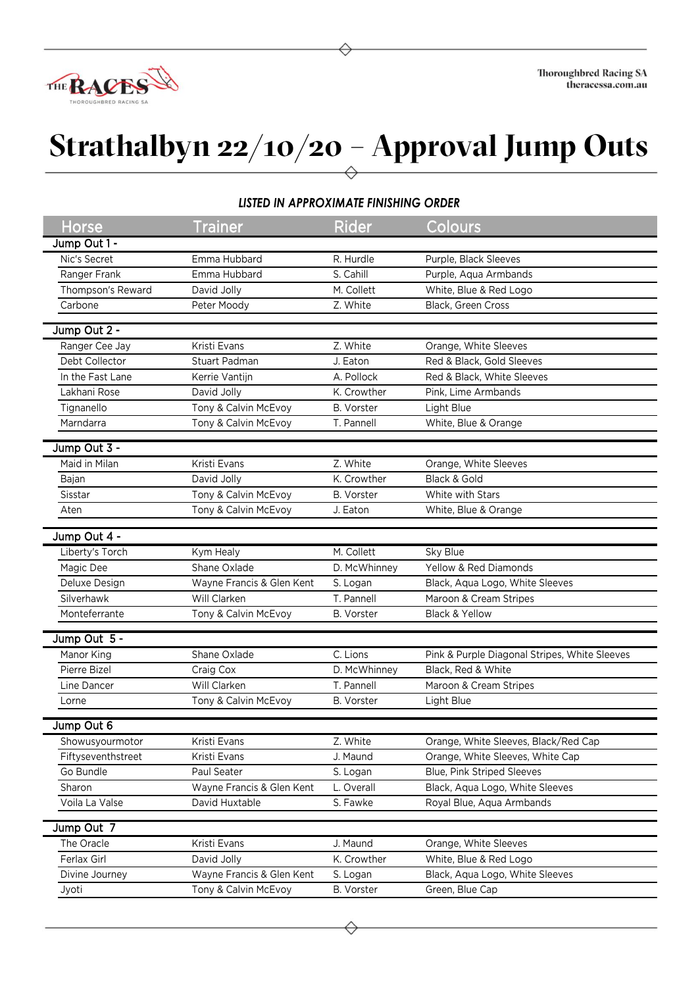

## **Strathalbyn 22/10/20 – Approval Jump Outs**

| LISTED IN APPROXIMATE FINISHING ORDER |                           |                   |                                               |  |  |  |  |  |
|---------------------------------------|---------------------------|-------------------|-----------------------------------------------|--|--|--|--|--|
| Horse                                 | <b>Trainer</b>            | <b>Rider</b>      | Colours                                       |  |  |  |  |  |
| Jump Out 1 -                          |                           |                   |                                               |  |  |  |  |  |
| Nic's Secret                          | Emma Hubbard              | R. Hurdle         | Purple, Black Sleeves                         |  |  |  |  |  |
| Ranger Frank                          | Emma Hubbard              | S. Cahill         | Purple, Aqua Armbands                         |  |  |  |  |  |
| Thompson's Reward                     | David Jolly               | M. Collett        | White, Blue & Red Logo                        |  |  |  |  |  |
| Carbone                               | Peter Moody               | Z. White          | Black, Green Cross                            |  |  |  |  |  |
|                                       |                           |                   |                                               |  |  |  |  |  |
| Jump Out 2 -                          |                           |                   |                                               |  |  |  |  |  |
| Ranger Cee Jay                        | Kristi Evans              | Z. White          | Orange, White Sleeves                         |  |  |  |  |  |
| Debt Collector                        | <b>Stuart Padman</b>      | J. Eaton          | Red & Black, Gold Sleeves                     |  |  |  |  |  |
| In the Fast Lane                      | Kerrie Vantijn            | A. Pollock        | Red & Black, White Sleeves                    |  |  |  |  |  |
| Lakhani Rose                          | David Jolly               | K. Crowther       | Pink, Lime Armbands                           |  |  |  |  |  |
| Tignanello                            | Tony & Calvin McEvoy      | <b>B.</b> Vorster | Light Blue                                    |  |  |  |  |  |
| Marndarra                             | Tony & Calvin McEvoy      | T. Pannell        | White, Blue & Orange                          |  |  |  |  |  |
| Jump Out 3 -                          |                           |                   |                                               |  |  |  |  |  |
| Maid in Milan                         | Kristi Evans              | Z. White          | Orange, White Sleeves                         |  |  |  |  |  |
| Bajan                                 | David Jolly               | K. Crowther       | Black & Gold                                  |  |  |  |  |  |
| Sisstar                               | Tony & Calvin McEvoy      | <b>B.</b> Vorster | White with Stars                              |  |  |  |  |  |
| Aten                                  | Tony & Calvin McEvoy      | J. Eaton          | White, Blue & Orange                          |  |  |  |  |  |
|                                       |                           |                   |                                               |  |  |  |  |  |
| Jump Out 4 -                          |                           |                   |                                               |  |  |  |  |  |
| Liberty's Torch                       | Kym Healy                 | M. Collett        | Sky Blue                                      |  |  |  |  |  |
| Magic Dee                             | Shane Oxlade              | D. McWhinney      | Yellow & Red Diamonds                         |  |  |  |  |  |
| Deluxe Design                         | Wayne Francis & Glen Kent | S. Logan          | Black, Aqua Logo, White Sleeves               |  |  |  |  |  |
| Silverhawk                            | Will Clarken              | T. Pannell        | Maroon & Cream Stripes                        |  |  |  |  |  |
| Monteferrante                         | Tony & Calvin McEvoy      | <b>B.</b> Vorster | Black & Yellow                                |  |  |  |  |  |
| Jump Out 5 -                          |                           |                   |                                               |  |  |  |  |  |
| Manor King                            | Shane Oxlade              | C. Lions          | Pink & Purple Diagonal Stripes, White Sleeves |  |  |  |  |  |
| Pierre Bizel                          | Craig Cox                 | D. McWhinney      | Black, Red & White                            |  |  |  |  |  |
| Line Dancer                           | Will Clarken              | T. Pannell        | Maroon & Cream Stripes                        |  |  |  |  |  |
| Lorne                                 | Tony & Calvin McEvoy      | B. Vorster        | Light Blue                                    |  |  |  |  |  |
|                                       |                           |                   |                                               |  |  |  |  |  |
| Jump Out 6                            |                           |                   |                                               |  |  |  |  |  |
| Showusyourmotor                       | Kristi Evans              | Z. White          | Orange, White Sleeves, Black/Red Cap          |  |  |  |  |  |
| Fiftyseventhstreet                    | Kristi Evans              | J. Maund          | Orange, White Sleeves, White Cap              |  |  |  |  |  |
| Go Bundle                             | Paul Seater               | S. Logan          | <b>Blue, Pink Striped Sleeves</b>             |  |  |  |  |  |
| Sharon                                | Wayne Francis & Glen Kent | L. Overall        | Black, Aqua Logo, White Sleeves               |  |  |  |  |  |
| Voila La Valse                        | David Huxtable            | S. Fawke          | Royal Blue, Aqua Armbands                     |  |  |  |  |  |
| Jump Out 7                            |                           |                   |                                               |  |  |  |  |  |
| The Oracle                            | Kristi Evans              | J. Maund          | Orange, White Sleeves                         |  |  |  |  |  |
| Ferlax Girl                           | David Jolly               | K. Crowther       | White, Blue & Red Logo                        |  |  |  |  |  |
|                                       | Wayne Francis & Glen Kent |                   | Black, Aqua Logo, White Sleeves               |  |  |  |  |  |
| Divine Journey                        |                           | S. Logan          |                                               |  |  |  |  |  |
| Jyoti                                 | Tony & Calvin McEvoy      | B. Vorster        | Green, Blue Cap                               |  |  |  |  |  |